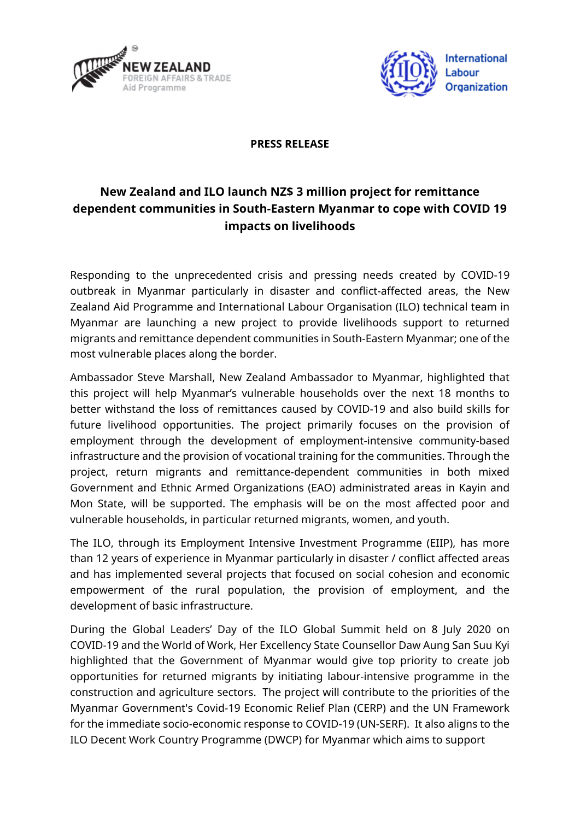



## **PRESS RELEASE**

## **New Zealand and ILO launch NZ\$ 3 million project for remittance dependent communities in South-Eastern Myanmar to cope with COVID 19 impacts on livelihoods**

Responding to the unprecedented crisis and pressing needs created by COVID-19 outbreak in Myanmar particularly in disaster and conflict-affected areas, the New Zealand Aid Programme and International Labour Organisation (ILO) technical team in Myanmar are launching a new project to provide livelihoods support to returned migrants and remittance dependent communities in South-Eastern Myanmar; one of the most vulnerable places along the border.

Ambassador Steve Marshall, New Zealand Ambassador to Myanmar, highlighted that this project will help Myanmar's vulnerable households over the next 18 months to better withstand the loss of remittances caused by COVID-19 and also build skills for future livelihood opportunities. The project primarily focuses on the provision of employment through the development of employment-intensive community-based infrastructure and the provision of vocational training for the communities. Through the project, return migrants and remittance-dependent communities in both mixed Government and Ethnic Armed Organizations (EAO) administrated areas in Kayin and Mon State, will be supported. The emphasis will be on the most affected poor and vulnerable households, in particular returned migrants, women, and youth.

The ILO, through its Employment Intensive Investment Programme (EIIP), has more than 12 years of experience in Myanmar particularly in disaster / conflict affected areas and has implemented several projects that focused on social cohesion and economic empowerment of the rural population, the provision of employment, and the development of basic infrastructure.

During the Global Leaders' Day of the ILO Global Summit held on 8 July 2020 on COVID-19 and the World of Work, Her Excellency State Counsellor Daw Aung San Suu Kyi highlighted that the Government of Myanmar would give top priority to create job opportunities for returned migrants by initiating labour-intensive programme in the construction and agriculture sectors. The project will contribute to the priorities of the Myanmar Government's Covid-19 Economic Relief Plan (CERP) and the UN Framework for the immediate socio-economic response to COVID-19 (UN-SERF). It also aligns to the ILO Decent Work Country Programme (DWCP) for Myanmar which aims to support